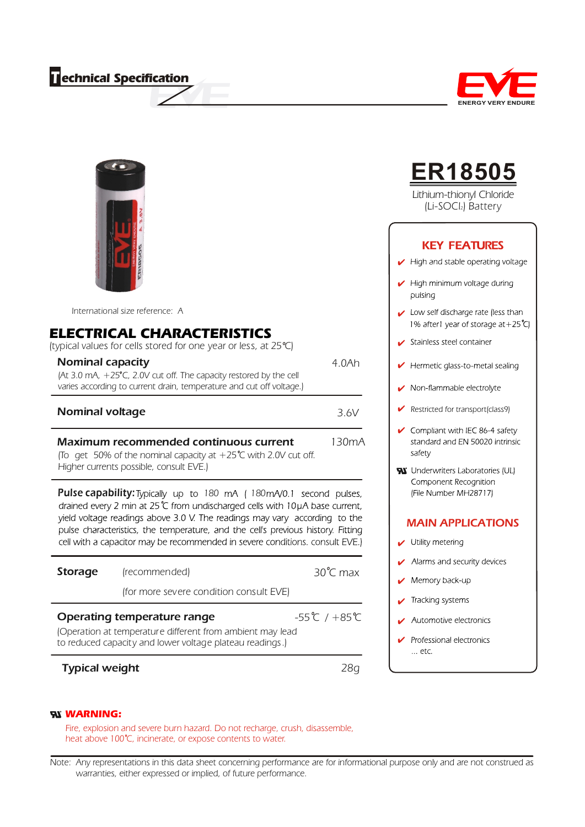## *T echnical Specification*



*International size reference: A*

## *ELECTRICAL CHARACTERISTICS*

*(typical values for cells stored for one year or less, at 25 C)*

| <b>Nominal capacity</b>                                                                                                                              | 4.0Ah |
|------------------------------------------------------------------------------------------------------------------------------------------------------|-------|
| (At 3.0 mA, $+25^{\circ}$ C, 2.0V cut off. The capacity restored by the cell<br>varies according to current drain, temperature and cut off voltage.) |       |
| <b>Nominal voltage</b>                                                                                                                               | 3.6V  |

### Maximum recommended continuous current

*130mA*

*(To get 50% of the nominal capacity at +25 C with 2.0V cut off. Higher currents possible, consult EVE.)*

**Pulse capability:** Typically up to 180 mA (180) drained every 2 min at 25 ℃ from undischarged cells with 10µA base current, yield voltage readings above 3.0 V. The readings may vary according to the pulse characteristics, the temperature, and the cell's previous history. Fitting cell with a capacitor may be recommended in severe conditions. consult EVE.)

|                       | (for more severe condition consult EVE)                                                                                                              |                                    |
|-----------------------|------------------------------------------------------------------------------------------------------------------------------------------------------|------------------------------------|
|                       | Operating temperature range<br>(Operation at temperature different from ambient may lead<br>to reduced capacity and lower voltage plateau readings.) | $-55^{\circ}$ C / +85 $^{\circ}$ C |
| <b>Typical weight</b> |                                                                                                                                                      |                                    |

### *WARNING:*

*Fire, explosion and severe burn hazard. Do not recharge, crush, disassemble, heat above 100 C, incinerate, or expose contents to water.*

*Note: Any representations in this data sheet concerning performance are for informational purpose only and are not construed as warranties, either expressed or implied, of future performance.*



# **ER18505**

*Lithium-thionyl Chloride (Li-SOCl2) Battery*

### **KEY FEATURES**

- $\blacktriangleright$  High and stable operating voltage
- $\blacktriangleright$  High minimum voltage during pulsing
- Low self discharge rate (less than 1% after1 year of storage at +25°C)
- Stainless steel container
- Hermetic glass-to-metal sealing V
- Non-flammable electrolyte
- *Restricted for transport(class9)*✔
- $\checkmark$  Compliant with IEC 86-4 safety standard and EN 50020 intrinsic safety
- W Underwriters Laboratories (UL) Component Recognition (File Number MH28717)

### MAIN APPLICATIONS

- Utility metering
- Alarms and security devices
- Memory back-up
- Tracking systems  $\boldsymbol{\nu}$
- Automotive electronics
- Professional electronics  $\ldots$  etc.